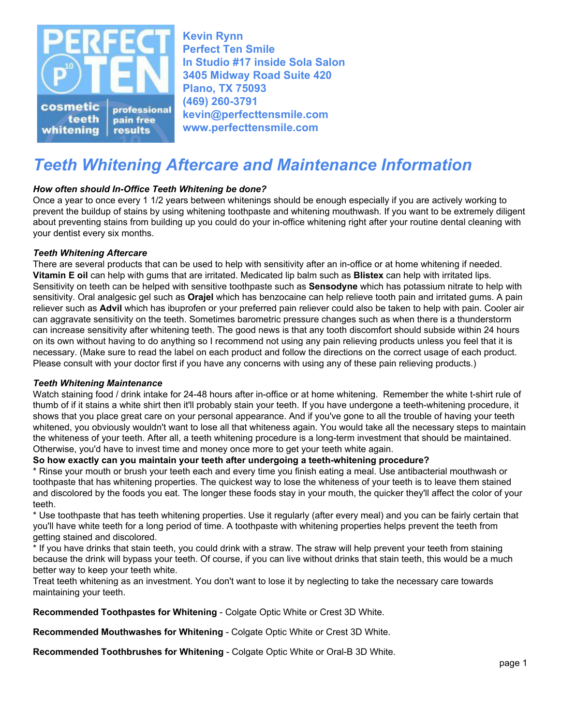

**Kevin Rynn Perfect Ten Smile In Studio #17 inside Sola Salon 3405 Midway Road Suite 420 Plano, TX 75093 (469) 260-3791 kevin@perfecttensmile.com [www.perfecttensmile.com](http://www.perfecttensmile.com/)**

# *Teeth Whitening Aftercare and Maintenance Information*

# *How often should In-Office Teeth Whitening be done?*

Once a year to once every 1 1/2 years between whitenings should be enough especially if you are actively working to prevent the buildup of stains by using whitening toothpaste and whitening mouthwash. If you want to be extremely diligent about preventing stains from building up you could do your in-office whitening right after your routine dental cleaning with your dentist every six months.

## *Teeth Whitening Aftercare*

There are several products that can be used to help with sensitivity after an in-office or at home whitening if needed. **Vitamin E oil** can help with gums that are irritated. Medicated lip balm such as **Blistex** can help with irritated lips. Sensitivity on teeth can be helped with sensitive toothpaste such as **Sensodyne** which has potassium nitrate to help with sensitivity. Oral analgesic gel such as **Orajel** which has benzocaine can help relieve tooth pain and irritated gums. A pain reliever such as **Advil** which has ibuprofen or your preferred pain reliever could also be taken to help with pain. Cooler air can aggravate sensitivity on the teeth. Sometimes barometric pressure changes such as when there is a thunderstorm can increase sensitivity after whitening teeth. The good news is that any tooth discomfort should subside within 24 hours on its own without having to do anything so I recommend not using any pain relieving products unless you feel that it is necessary. (Make sure to read the label on each product and follow the directions on the correct usage of each product. Please consult with your doctor first if you have any concerns with using any of these pain relieving products.)

#### *Teeth Whitening Maintenance*

Watch staining food / drink intake for 24-48 hours after in-office or at home whitening. Remember the white t-shirt rule of thumb of if it stains a white shirt then it'll probably stain your teeth. If you have undergone a teeth-whitening procedure, it shows that you place great care on your personal appearance. And if you've gone to all the trouble of having your teeth whitened, you obviously wouldn't want to lose all that whiteness again. You would take all the necessary steps to maintain the whiteness of your teeth. After all, a teeth whitening procedure is a long-term investment that should be maintained. Otherwise, you'd have to invest time and money once more to get your teeth white again.

# **So how exactly can you maintain your teeth after undergoing a teeth-whitening procedure?**

\* Rinse your mouth or brush your teeth each and every time you finish eating a meal. Use antibacterial mouthwash or toothpaste that has whitening properties. The quickest way to lose the whiteness of your teeth is to leave them stained and discolored by the foods you eat. The longer these foods stay in your mouth, the quicker they'll affect the color of your teeth.

\* Use toothpaste that has teeth whitening properties. Use it regularly (after every meal) and you can be fairly certain that you'll have white teeth for a long period of time. A toothpaste with whitening properties helps prevent the teeth from getting stained and discolored.

\* If you have drinks that stain teeth, you could drink with a straw. The straw will help prevent your teeth from staining because the drink will bypass your teeth. Of course, if you can live without drinks that stain teeth, this would be a much better way to keep your teeth white.

Treat teeth whitening as an investment. You don't want to lose it by neglecting to take the necessary care towards maintaining your teeth.

**Recommended Toothpastes for Whitening** - Colgate Optic White or Crest 3D White.

**Recommended Mouthwashes for Whitening** - Colgate Optic White or Crest 3D White.

**Recommended Toothbrushes for Whitening** - Colgate Optic White or Oral-B 3D White.